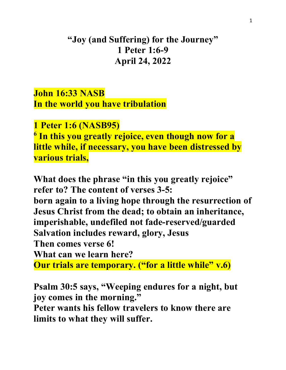## **"Joy (and Suffering) for the Journey" 1 Peter 1:6-9 April 24, 2022**

**John 16:33 NASB In the world you have tribulation**

**1 Peter 1:6 (NASB95) <sup>6</sup> In this you greatly rejoice, even though now for a little while, if necessary, you have been distressed by various trials,**

**What does the phrase "in this you greatly rejoice" refer to? The content of verses 3-5: born again to a living hope through the resurrection of Jesus Christ from the dead; to obtain an inheritance, imperishable, undefiled not fade-reserved/guarded Salvation includes reward, glory, Jesus Then comes verse 6! What can we learn here? Our trials are temporary. ("for a little while" v.6)**

**Psalm 30:5 says, "Weeping endures for a night, but joy comes in the morning."**

**Peter wants his fellow travelers to know there are limits to what they will suffer.**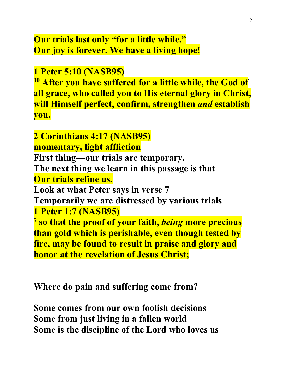## **Our trials last only "for a little while." Our joy is forever. We have a living hope!**

**1 Peter 5:10 (NASB95)** 

**<sup>10</sup> After you have suffered for a little while, the God of all grace, who called you to His eternal glory in Christ, will Himself perfect, confirm, strengthen** *and* **establish you.**

**2 Corinthians 4:17 (NASB95) momentary, light affliction First thing—our trials are temporary. The next thing we learn in this passage is that Our trials refine us. Look at what Peter says in verse 7 Temporarily we are distressed by various trials 1 Peter 1:7 (NASB95) <sup>7</sup> so that the proof of your faith,** *being* **more precious than gold which is perishable, even though tested by fire, may be found to result in praise and glory and honor at the revelation of Jesus Christ;**

**Where do pain and suffering come from?**

**Some comes from our own foolish decisions Some from just living in a fallen world Some is the discipline of the Lord who loves us**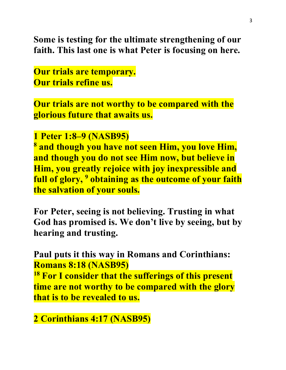**Some is testing for the ultimate strengthening of our faith. This last one is what Peter is focusing on here.**

**Our trials are temporary. Our trials refine us.**

**Our trials are not worthy to be compared with the glorious future that awaits us.**

## **1 Peter 1:8–9 (NASB95)**

**<sup>8</sup> and though you have not seen Him, you love Him, and though you do not see Him now, but believe in Him, you greatly rejoice with joy inexpressible and full of glory, 9 obtaining as the outcome of your faith the salvation of your souls.**

**For Peter, seeing is not believing. Trusting in what God has promised is. We don't live by seeing, but by hearing and trusting.**

**Paul puts it this way in Romans and Corinthians: Romans 8:18 (NASB95)** 

**<sup>18</sup> For I consider that the sufferings of this present time are not worthy to be compared with the glory that is to be revealed to us.**

**2 Corinthians 4:17 (NASB95)**